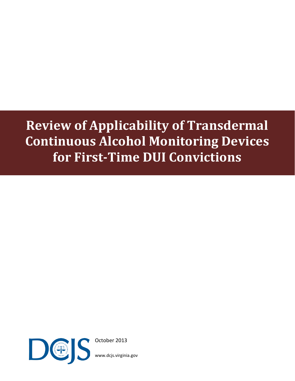# **Review of Applicability of Transdermal Continuous Alcohol Monitoring Devices for First-Time DUI Convictions**



October 2013

[www.dcjs.virginia.gov](http://www.dcjs.virginia.gov/)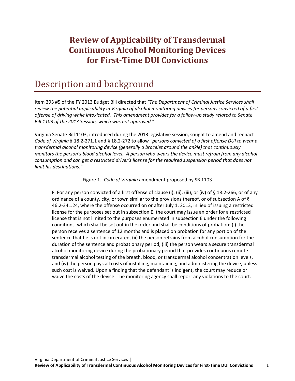### **Review of Applicability of Transdermal Continuous Alcohol Monitoring Devices for First-Time DUI Convictions**

### Description and background

Item 393 #5 of the FY 2013 Budget Bill directed that *"The Department of Criminal Justice Services shall review the potential applicability in Virginia of alcohol monitoring devices for persons convicted of a first offense of driving while intoxicated. This amendment provides for a follow-up study related to Senate Bill 1103 of the 2013 Session, which was not approved."*

Virginia Senate Bill 1103, introduced during the 2013 legislative session, sought to amend and reenact *Code of Virginia* § 18.2-271.1 and § 18.2-272 to allow *"persons convicted of a first offense DUI to wear a transdermal alcohol monitoring device (generally a bracelet around the ankle) that continuously monitors the person's blood alcohol level. A person who wears the device must refrain from any alcohol consumption and can get a restricted driver's license for the required suspension period that does not limit his destinations."*

Figure 1. *Code of Virginia* amendment proposed by SB 1103

F. For any person convicted of a first offense of clause (i), (ii), (iii), or (iv) of § 18.2-266, or of any ordinance of a county, city, or town similar to the provisions thereof, or of subsection A of § 46.2-341.24, where the offense occurred on or after July 1, 2013, in lieu of issuing a restricted license for the purposes set out in subsection E, the court may issue an order for a restricted license that is not limited to the purposes enumerated in subsection E under the following conditions, which shall be set out in the order and shall be conditions of probation: (i) the person receives a sentence of 12 months and is placed on probation for any portion of the sentence that he is not incarcerated, (ii) the person refrains from alcohol consumption for the duration of the sentence and probationary period, (iii) the person wears a secure transdermal alcohol monitoring device during the probationary period that provides continuous remote transdermal alcohol testing of the breath, blood, or transdermal alcohol concentration levels, and (iv) the person pays all costs of installing, maintaining, and administering the device, unless such cost is waived. Upon a finding that the defendant is indigent, the court may reduce or waive the costs of the device. The monitoring agency shall report any violations to the court.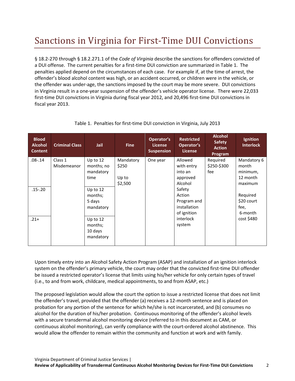# Sanctions in Virginia for First-Time DUI Convictions

§ 18.2-270 through § 18.2.271.1 of the *Code of Virginia* describe the sanctions for offenders convicted of a DUI offense. The current penalties for a first-time DUI conviction are summarized in Table 1. The penalties applied depend on the circumstances of each case. For example if, at the time of arrest, the offender's blood alcohol content was high, or an accident occurred, or children were in the vehicle, or the offender was under-age, the sanctions imposed by the court may be more severe. DUI convictions in Virginia result in a one-year suspension of the offender's vehicle operator license. There were 22,033 first-time DUI convictions in Virginia during fiscal year 2012, and 20,496 first-time DUI convictions in fiscal year 2013.

| <b>Blood</b><br><b>Alcohol</b><br><b>Content</b> | <b>Criminal Class</b> | Jail       | <b>Fine</b> | Operator's<br><b>License</b><br><b>Suspension</b> | <b>Restricted</b><br>Operator's<br><b>License</b> | <b>Alcohol</b><br><b>Safety</b><br><b>Action</b><br>Program | <b>Ignition</b><br><b>Interlock</b> |
|--------------------------------------------------|-----------------------|------------|-------------|---------------------------------------------------|---------------------------------------------------|-------------------------------------------------------------|-------------------------------------|
| $.08 - .14$                                      | Class 1               | Up to $12$ | Mandatory   | One year                                          | Allowed                                           | Required                                                    | Mandatory 6                         |
|                                                  | Misdemeanor           | months; no | \$250       |                                                   | with entry                                        | \$250-\$300                                                 | month                               |
|                                                  |                       | mandatory  |             |                                                   | into an                                           | fee                                                         | minimum,                            |
|                                                  |                       | time       | Up to       |                                                   | approved                                          |                                                             | 12 month                            |
|                                                  |                       |            | \$2,500     |                                                   | Alcohol                                           |                                                             | maximum                             |
| $.15 - .20$                                      |                       | Up to 12   |             |                                                   | Safety                                            |                                                             |                                     |
|                                                  |                       | months;    |             |                                                   | Action                                            |                                                             | Required                            |
|                                                  |                       | 5 days     |             |                                                   | Program and                                       |                                                             | \$20 court                          |
|                                                  |                       | mandatory  |             |                                                   | installation                                      |                                                             | fee,                                |
|                                                  |                       |            |             |                                                   | of ignition                                       |                                                             | 6-month                             |
| $.21+$                                           |                       | Up to 12   |             |                                                   | interlock                                         |                                                             | cost \$480                          |
|                                                  |                       | months;    |             |                                                   | system                                            |                                                             |                                     |
|                                                  |                       | 10 days    |             |                                                   |                                                   |                                                             |                                     |
|                                                  |                       | mandatory  |             |                                                   |                                                   |                                                             |                                     |
|                                                  |                       |            |             |                                                   |                                                   |                                                             |                                     |

#### Table 1. Penalties for first-time DUI conviction in Virginia, July 2013

Upon timely entry into an Alcohol Safety Action Program (ASAP) and installation of an ignition interlock system on the offender's primary vehicle, the court may order that the convicted first-time DUI offender be issued a restricted operator's license that limits using his/her vehicle for only certain types of travel (i.e., to and from work, childcare, medical appointments, to and from ASAP, etc.)

The proposed legislation would allow the court the option to issue a restricted license that does not limit the offender's travel, provided that the offender (a) receives a 12-month sentence and is placed on probation for any portion of the sentence for which he/she is not incarcerated, and (b) consumes no alcohol for the duration of his/her probation. Continuous monitoring of the offender's alcohol levels with a secure transdermal alcohol monitoring device (referred to in this document as CAM, or continuous alcohol monitoring), can verify compliance with the court-ordered alcohol abstinence. This would allow the offender to remain within the community and function at work and with family.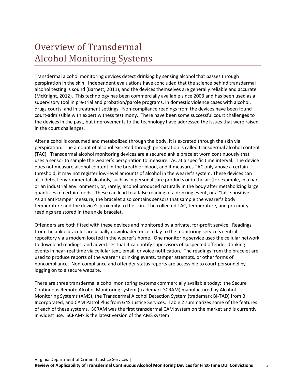### Overview of Transdermal Alcohol Monitoring Systems

Transdermal alcohol monitoring devices detect drinking by sensing alcohol that passes through perspiration in the skin. Independent evaluations have concluded that the science behind transdermal alcohol testing is sound (Barnett, 2011), and the devices themselves are generally reliable and accurate (McKnight, 2012). This technology has been commercially available since 2003 and has been used as a supervisory tool in pre-trial and probation/parole programs, in domestic violence cases with alcohol, drugs courts, and in treatment settings. Non-compliance readings from the devices have been found court-admissible with expert witness testimony. There have been some successful court challenges to the devices in the past, but improvements to the technology have addressed the issues that were raised in the court challenges.

After alcohol is consumed and metabolized through the body, it is excreted through the skin via perspiration. The amount of alcohol excreted through perspiration is called transdermal alcohol content (TAC). Transdermal alcohol monitoring devices are a secured ankle bracelet worn continuously that uses a sensor to sample the wearer's perspiration to measure TAC at a specific time interval. The device does not measure alcohol content in the breath or blood, and it measures TAC only above a certain threshold; it may not register low-level amounts of alcohol in the wearer's system. These devices can also detect environmental alcohols, such as in personal care products or in the air (for example, in a bar or an industrial environment), or, rarely, alcohol produced naturally in the body after metabolizing large quantities of certain foods. These can lead to a false reading of a drinking event, or a "false positive." As an anti-tamper measure, the bracelet also contains sensors that sample the wearer's body temperature and the device's proximity to the skin. The collected TAC, temperature, and proximity readings are stored in the ankle bracelet.

Offenders are both fitted with these devices and monitored by a private, for-profit service. Readings from the ankle bracelet are usually downloaded once a day to the monitoring service's central repository via a modem located in the wearer's home. One monitoring service uses the cellular network to download readings, and advertises that it can notify supervisors of suspected offender drinking events in near-real time via cellular text, email, or voice notification. The readings from the bracelet are used to produce reports of the wearer's drinking events, tamper attempts, or other forms of noncompliance. Non-compliance and offender status reports are accessible to court personnel by logging on to a secure website.

There are three transdermal alcohol monitoring systems commercially available today: the Secure Continuous Remote Alcohol Monitoring system (trademark SCRAM) manufactured by Alcohol Monitoring Systems (AMS), the Transdermal Alcohol Detection System (trademark BI-TAD) from BI Incorporated, and CAM Patrol Plus from G4S Justice Services. Table 2 summarizes some of the features of each of these systems. SCRAM was the first transdermal CAM system on the market and is currently in widest use. SCRAMx is the latest version of the AMS system.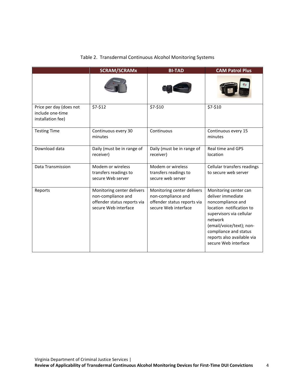|                                                                  | <b>SCRAM/SCRAMx</b>                                                                                     | <b>BI-TAD</b>                                                                                           | <b>CAM Patrol Plus</b>                                                                                                                                                                                                                        |
|------------------------------------------------------------------|---------------------------------------------------------------------------------------------------------|---------------------------------------------------------------------------------------------------------|-----------------------------------------------------------------------------------------------------------------------------------------------------------------------------------------------------------------------------------------------|
|                                                                  |                                                                                                         |                                                                                                         |                                                                                                                                                                                                                                               |
| Price per day (does not<br>include one-time<br>installation fee) | \$7-\$12                                                                                                | \$7-\$10                                                                                                | \$7-\$10                                                                                                                                                                                                                                      |
| <b>Testing Time</b>                                              | Continuous every 30<br>minutes                                                                          | Continuous                                                                                              | Continuous every 15<br>minutes                                                                                                                                                                                                                |
| Download data                                                    | Daily (must be in range of<br>receiver)                                                                 | Daily (must be in range of<br>receiver)                                                                 | Real time and GPS<br>location                                                                                                                                                                                                                 |
| Data Transmission                                                | Modem or wireless<br>transfers readings to<br>secure Web server                                         | Modem or wireless<br>transfers readings to<br>secure web server                                         | Cellular transfers readings<br>to secure web server                                                                                                                                                                                           |
| Reports                                                          | Monitoring center delivers<br>non-compliance and<br>offender status reports via<br>secure Web interface | Monitoring center delivers<br>non-compliance and<br>offender status reports via<br>secure Web interface | Monitoring center can<br>deliver immediate<br>noncompliance and<br>location notification to<br>supervisors via cellular<br>network<br>(email/voice/text); non-<br>compliance and status<br>reports also available via<br>secure Web interface |

#### Table 2. Transdermal Continuous Alcohol Monitoring Systems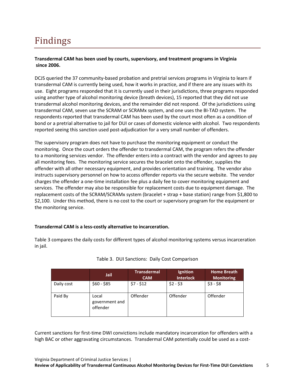### Findings

#### **Transdermal CAM has been used by courts, supervisory, and treatment programs in Virginia since 2006.**

DCJS queried the 37 community-based probation and pretrial services programs in Virginia to learn if transdermal CAM is currently being used, how it works in practice, and if there are any issues with its use. Eight programs responded that it is currently used in their jurisdictions, three programs responded using another type of alcohol monitoring device (breath devices), 15 reported that they did not use transdermal alcohol monitoring devices, and the remainder did not respond. Of the jurisdictions using transdermal CAM, seven use the SCRAM or SCRAMx system, and one uses the BI-TAD system. The respondents reported that transdermal CAM has been used by the court most often as a condition of bond or a pretrial alternative to jail for DUI or cases of domestic violence with alcohol. Two respondents reported seeing this sanction used post-adjudication for a very small number of offenders.

The supervisory program does not have to purchase the monitoring equipment or conduct the monitoring. Once the court orders the offender to transdermal CAM, the program refers the offender to a monitoring services vendor. The offender enters into a contract with the vendor and agrees to pay all monitoring fees. The monitoring service secures the bracelet onto the offender, supplies the offender with all other necessary equipment, and provides orientation and training. The vendor also instructs supervisory personnel on how to access offender reports via the secure website. The vendor charges the offender a one-time installation fee plus a daily fee to cover monitoring equipment and services. The offender may also be responsible for replacement costs due to equipment damage. The replacement costs of the SCRAM/SCRAMx system (bracelet + strap + base station) range from \$1,800 to \$2,100. Under this method, there is no cost to the court or supervisory program for the equipment or the monitoring service.

#### **Transdermal CAM is a less-costly alternative to incarceration.**

Table 3 compares the daily costs for different types of alcohol monitoring systems versus incarceration in jail.

|            | Jail                                | <b>Transdermal</b><br><b>CAM</b> | Ignition<br><b>Interlock</b> | <b>Home Breath</b><br><b>Monitoring</b> |
|------------|-------------------------------------|----------------------------------|------------------------------|-----------------------------------------|
| Daily cost | $$60 - $85$                         | $$7 - $12$                       | $$2 - $3$                    | $$3 - $8$                               |
| Paid By    | Local<br>government and<br>offender | Offender                         | Offender                     | Offender                                |

#### Table 3. DUI Sanctions: Daily Cost Comparison

Current sanctions for first-time DWI convictions include mandatory incarceration for offenders with a high BAC or other aggravating circumstances. Transdermal CAM potentially could be used as a cost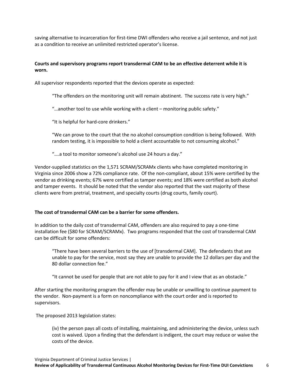saving alternative to incarceration for first-time DWI offenders who receive a jail sentence, and not just as a condition to receive an unlimited restricted operator's license.

#### **Courts and supervisory programs report transdermal CAM to be an effective deterrent while it is worn.**

All supervisor respondents reported that the devices operate as expected:

"The offenders on the monitoring unit will remain abstinent. The success rate is very high."

"…another tool to use while working with a client – monitoring public safety."

"It is helpful for hard-core drinkers."

"We can prove to the court that the no alcohol consumption condition is being followed. With random testing, it is impossible to hold a client accountable to not consuming alcohol."

"….a tool to monitor someone's alcohol use 24 hours a day."

Vendor-supplied statistics on the 1,571 SCRAM/SCRAMx clients who have completed monitoring in Virginia since 2006 show a 72% compliance rate. Of the non-compliant, about 15% were certified by the vendor as drinking events; 67% were certified as tamper events; and 18% were certified as both alcohol and tamper events. It should be noted that the vendor also reported that the vast majority of these clients were from pretrial, treatment, and specialty courts (drug courts, family court).

#### **The cost of transdermal CAM can be a barrier for some offenders.**

In addition to the daily cost of transdermal CAM, offenders are also required to pay a one-time installation fee (\$80 for SCRAM/SCRAMx). Two programs responded that the cost of transdermal CAM can be difficult for some offenders:

"There have been several barriers to the use of [transdermal CAM]. The defendants that are unable to pay for the service, most say they are unable to provide the 12 dollars per day and the 80 dollar connection fee."

"It cannot be used for people that are not able to pay for it and I view that as an obstacle."

After starting the monitoring program the offender may be unable or unwilling to continue payment to the vendor. Non-payment is a form on noncompliance with the court order and is reported to supervisors.

The proposed 2013 legislation states:

(iv) the person pays all costs of installing, maintaining, and administering the device, unless such cost is waived. Upon a finding that the defendant is indigent, the court may reduce or waive the costs of the device.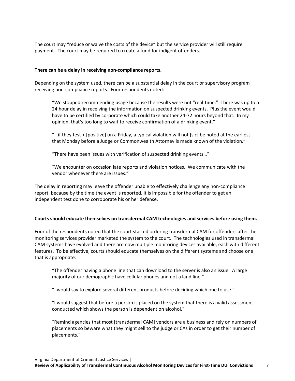The court may "reduce or waive the costs of the device" but the service provider will still require payment. The court may be required to create a fund for indigent offenders.

#### **There can be a delay in receiving non-compliance reports.**

Depending on the system used, there can be a substantial delay in the court or supervisory program receiving non-compliance reports. Four respondents noted:

"We stopped recommending usage because the results were not "real-time." There was up to a 24 hour delay in receiving the information on suspected drinking events. Plus the event would have to be certified by corporate which could take another 24-72 hours beyond that. In my opinion, that's too long to wait to receive confirmation of a drinking event."

"…if they test + [positive] on a Friday, a typical violation will not [sic] be noted at the earliest that Monday before a Judge or Commonwealth Attorney is made known of the violation."

"There have been issues with verification of suspected drinking events…"

"We encounter on occasion late reports and violation notices. We communicate with the vendor whenever there are issues."

The delay in reporting may leave the offender unable to effectively challenge any non-compliance report, because by the time the event is reported, it is impossible for the offender to get an independent test done to corroborate his or her defense.

#### **Courts should educate themselves on transdermal CAM technologies and services before using them.**

Four of the respondents noted that the court started ordering transdermal CAM for offenders after the monitoring services provider marketed the system to the court. The technologies used in transdermal CAM systems have evolved and there are now multiple monitoring devices available, each with different features. To be effective, courts should educate themselves on the different systems and choose one that is appropriate:

"The offender having a phone line that can download to the server is also an issue. A large majority of our demographic have cellular phones and not a land line."

"I would say to explore several different products before deciding which one to use."

"I would suggest that before a person is placed on the system that there is a valid assessment conducted which shows the person is dependent on alcohol."

"Remind agencies that most [transdermal CAM] vendors are a business and rely on numbers of placements so beware what they might sell to the judge or CAs in order to get their number of placements."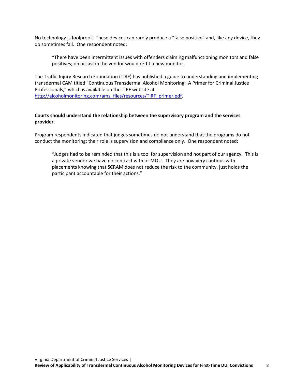No technology is foolproof. These devices can rarely produce a "false positive" and, like any device, they do sometimes fail. One respondent noted:

"There have been intermittent issues with offenders claiming malfunctioning monitors and false positives; on occasion the vendor would re-fit a new monitor.

The Traffic Injury Research Foundation (TIRF) has published a guide to understanding and implementing transdermal CAM titled "Continuous Transdermal Alcohol Monitoring: A Primer for Criminal Justice Professionals," which is available on the TIRF website at [http://alcoholmonitoring.com/ams\\_files/resources/TIRF\\_primer.pdf.](http://alcoholmonitoring.com/ams_files/resources/TIRF_primer.pdf)

#### **Courts should understand the relationship between the supervisory program and the services provider.**

Program respondents indicated that judges sometimes do not understand that the programs do not conduct the monitoring; their role is supervision and compliance only. One respondent noted:

"Judges had to be reminded that this is a tool for supervision and not part of our agency. This is a private vendor we have no contract with or MOU. They are now very cautious with placements knowing that SCRAM does not reduce the risk to the community, just holds the participant accountable for their actions."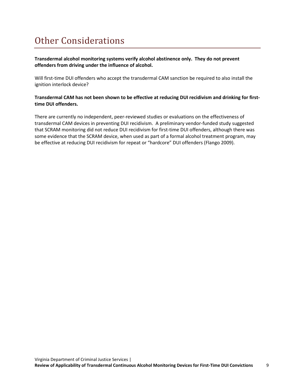# Other Considerations

**Transdermal alcohol monitoring systems verify alcohol abstinence only. They do not prevent offenders from driving under the influence of alcohol.**

Will first-time DUI offenders who accept the transdermal CAM sanction be required to also install the ignition interlock device?

#### **Transdermal CAM has not been shown to be effective at reducing DUI recidivism and drinking for firsttime DUI offenders.**

There are currently no independent, peer-reviewed studies or evaluations on the effectiveness of transdermal CAM devices in preventing DUI recidivism. A preliminary vendor-funded study suggested that SCRAM monitoring did not reduce DUI recidivism for first-time DUI offenders, although there was some evidence that the SCRAM device, when used as part of a formal alcohol treatment program, may be effective at reducing DUI recidivism for repeat or "hardcore" DUI offenders (Flango 2009).